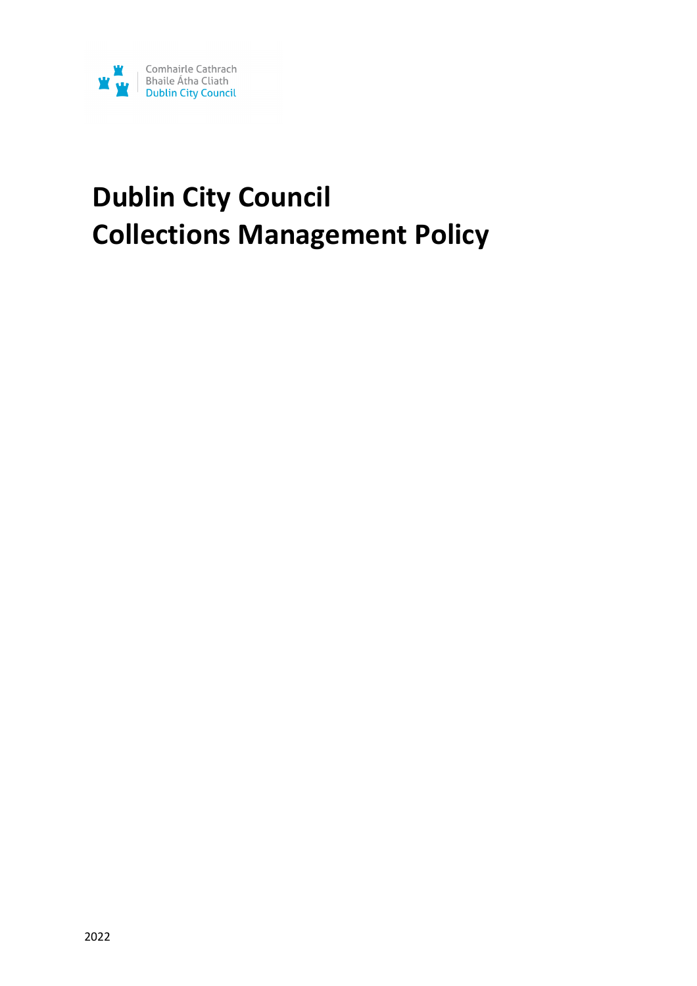

# **Dublin City Council Collections Management Policy**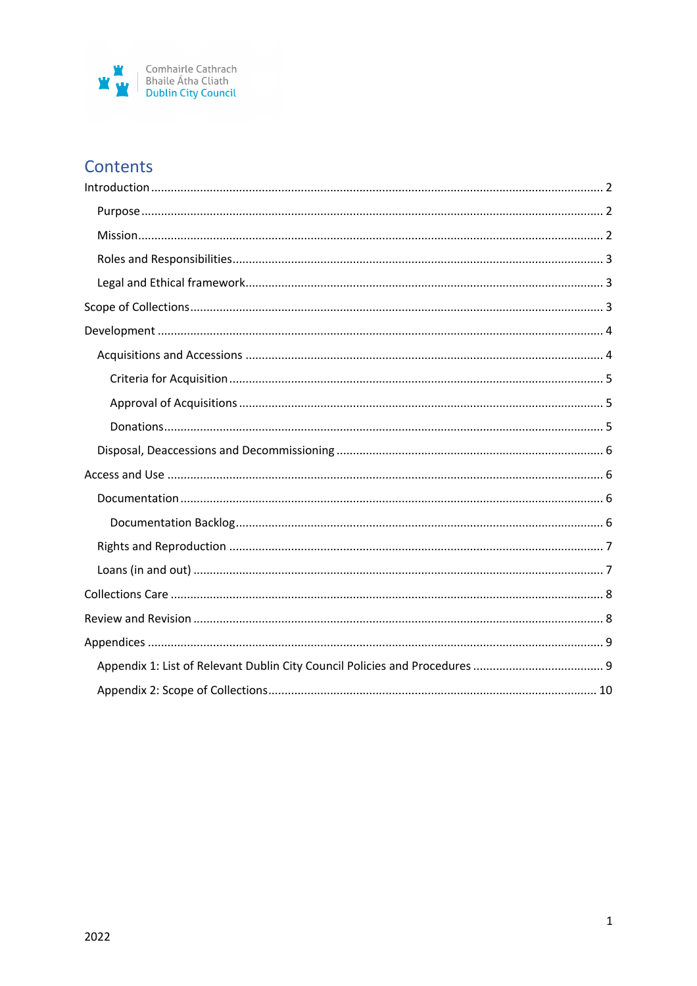

# Contents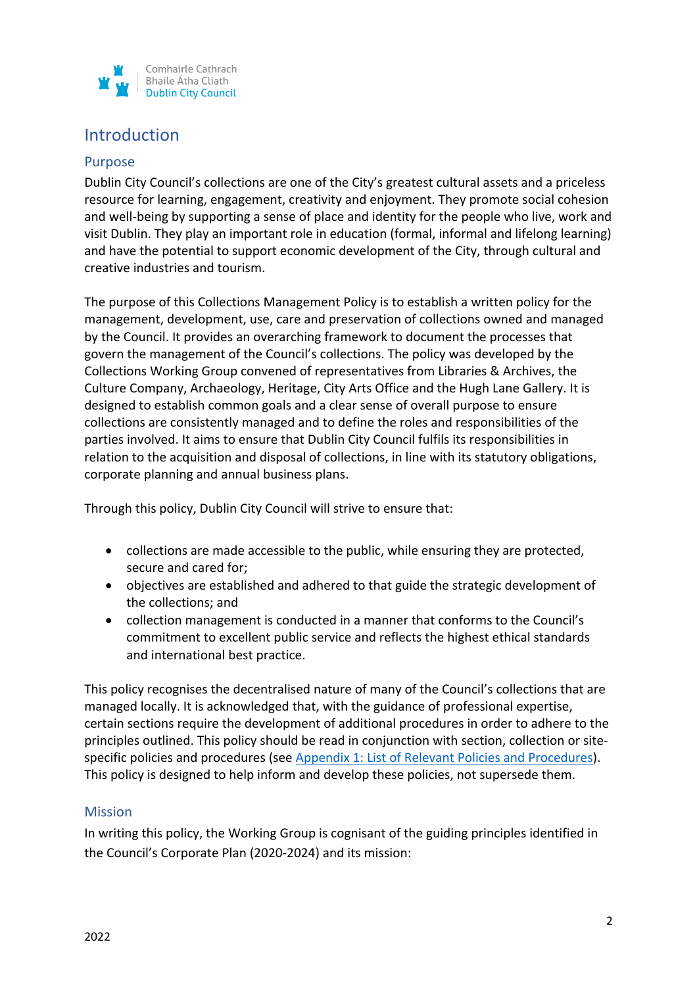

# **Introduction**

## Purpose

Dublin City Council's collections are one of the City's greatest cultural assets and a priceless resource for learning, engagement, creativity and enjoyment. They promote social cohesion and well-being by supporting a sense of place and identity for the people who live, work and visit Dublin. They play an important role in education (formal, informal and lifelong learning) and have the potential to support economic development of the City, through cultural and creative industries and tourism.

The purpose of this Collections Management Policy is to establish a written policy for the management, development, use, care and preservation of collections owned and managed by the Council. It provides an overarching framework to document the processes that govern the management of the Council's collections. The policy was developed by the Collections Working Group convened of representatives from Libraries & Archives, the Culture Company, Archaeology, Heritage, City Arts Office and the Hugh Lane Gallery. It is designed to establish common goals and a clear sense of overall purpose to ensure collections are consistently managed and to define the roles and responsibilities of the parties involved. It aims to ensure that Dublin City Council fulfils its responsibilities in relation to the acquisition and disposal of collections, in line with its statutory obligations, corporate planning and annual business plans.

Through this policy, Dublin City Council will strive to ensure that:

- collections are made accessible to the public, while ensuring they are protected, secure and cared for;
- objectives are established and adhered to that guide the strategic development of the collections; and
- collection management is conducted in a manner that conforms to the Council's commitment to excellent public service and reflects the highest ethical standards and international best practice.

This policy recognises the decentralised nature of many of the Council's collections that are managed locally. It is acknowledged that, with the guidance of professional expertise, certain sections require the development of additional procedures in order to adhere to the principles outlined. This policy should be read in conjunction with section, collection or sitespecific policies and procedures (see Appendix 1: List of Relevant Policies and Procedures). This policy is designed to help inform and develop these policies, not supersede them.

## **Mission**

In writing this policy, the Working Group is cognisant of the guiding principles identified in the Council's Corporate Plan (2020-2024) and its mission: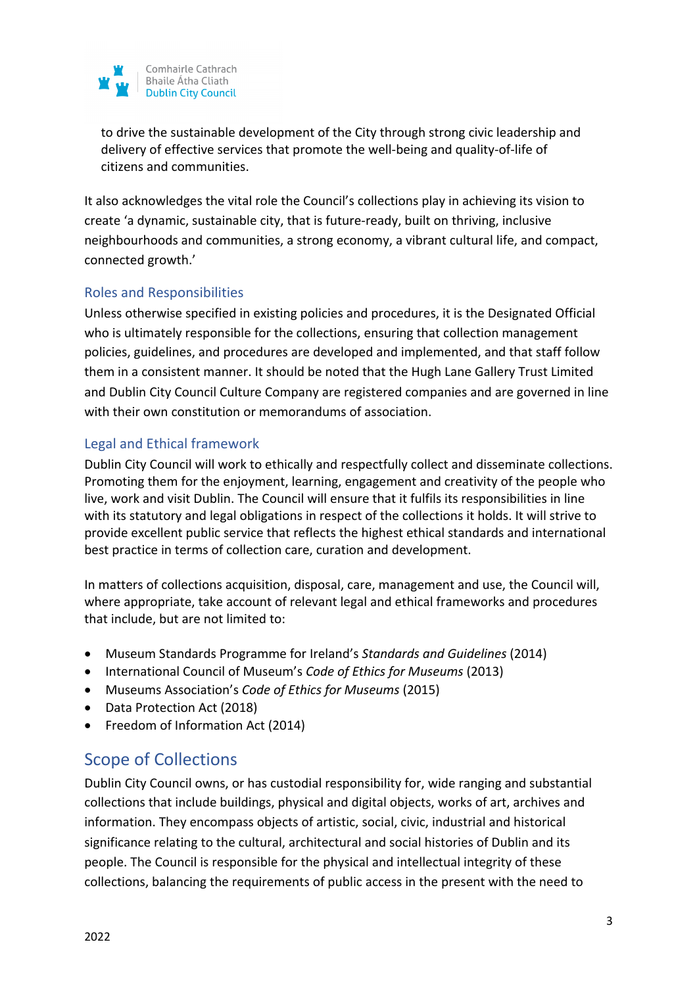

to drive the sustainable development of the City through strong civic leadership and delivery of effective services that promote the well-being and quality-of-life of citizens and communities.

It also acknowledges the vital role the Council's collections play in achieving its vision to create 'a dynamic, sustainable city, that is future-ready, built on thriving, inclusive neighbourhoods and communities, a strong economy, a vibrant cultural life, and compact, connected growth.'

# Roles and Responsibilities

Unless otherwise specified in existing policies and procedures, it is the Designated Official who is ultimately responsible for the collections, ensuring that collection management policies, guidelines, and procedures are developed and implemented, and that staff follow them in a consistent manner. It should be noted that the Hugh Lane Gallery Trust Limited and Dublin City Council Culture Company are registered companies and are governed in line with their own constitution or memorandums of association.

## Legal and Ethical framework

Dublin City Council will work to ethically and respectfully collect and disseminate collections. Promoting them for the enjoyment, learning, engagement and creativity of the people who live, work and visit Dublin. The Council will ensure that it fulfils its responsibilities in line with its statutory and legal obligations in respect of the collections it holds. It will strive to provide excellent public service that reflects the highest ethical standards and international best practice in terms of collection care, curation and development.

In matters of collections acquisition, disposal, care, management and use, the Council will, where appropriate, take account of relevant legal and ethical frameworks and procedures that include, but are not limited to:

- Museum Standards Programme for Ireland's *Standards and Guidelines* (2014)
- International Council of Museum's *Code of Ethics for Museums* (2013)
- Museums Association's *Code of Ethics for Museums* (2015)
- Data Protection Act (2018)
- Freedom of Information Act (2014)

# Scope of Collections

Dublin City Council owns, or has custodial responsibility for, wide ranging and substantial collections that include buildings, physical and digital objects, works of art, archives and information. They encompass objects of artistic, social, civic, industrial and historical significance relating to the cultural, architectural and social histories of Dublin and its people. The Council is responsible for the physical and intellectual integrity of these collections, balancing the requirements of public access in the present with the need to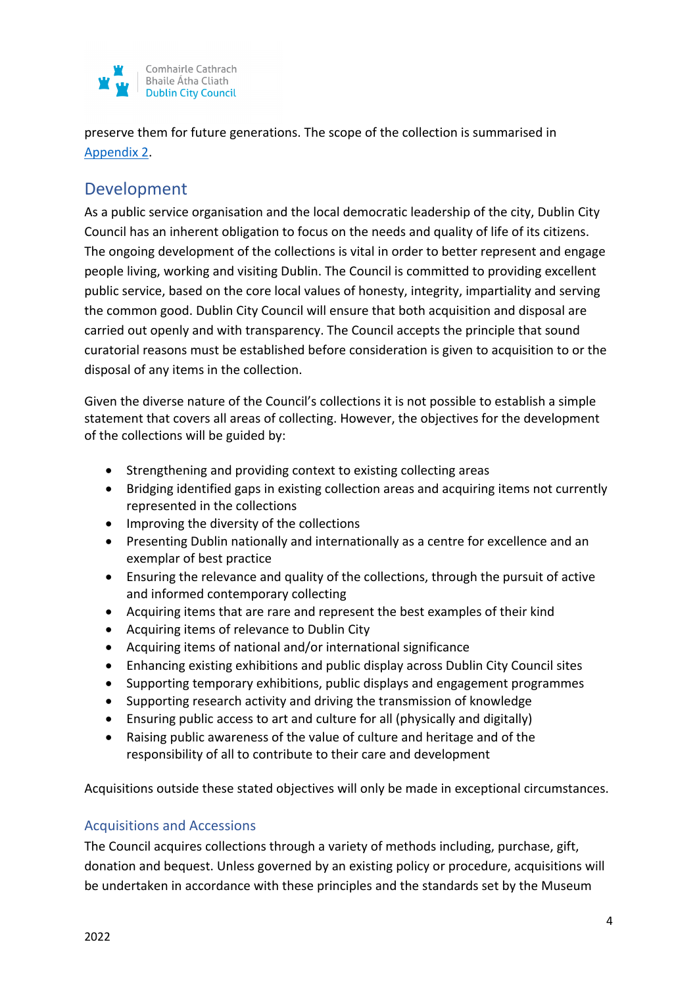

preserve them for future generations. The scope of the collection is summarised in Appendix 2.

# Development

As a public service organisation and the local democratic leadership of the city, Dublin City Council has an inherent obligation to focus on the needs and quality of life of its citizens. The ongoing development of the collections is vital in order to better represent and engage people living, working and visiting Dublin. The Council is committed to providing excellent public service, based on the core local values of honesty, integrity, impartiality and serving the common good. Dublin City Council will ensure that both acquisition and disposal are carried out openly and with transparency. The Council accepts the principle that sound curatorial reasons must be established before consideration is given to acquisition to or the disposal of any items in the collection.

Given the diverse nature of the Council's collections it is not possible to establish a simple statement that covers all areas of collecting. However, the objectives for the development of the collections will be guided by:

- Strengthening and providing context to existing collecting areas
- Bridging identified gaps in existing collection areas and acquiring items not currently represented in the collections
- Improving the diversity of the collections
- Presenting Dublin nationally and internationally as a centre for excellence and an exemplar of best practice
- Ensuring the relevance and quality of the collections, through the pursuit of active and informed contemporary collecting
- Acquiring items that are rare and represent the best examples of their kind
- Acquiring items of relevance to Dublin City
- Acquiring items of national and/or international significance
- Enhancing existing exhibitions and public display across Dublin City Council sites
- Supporting temporary exhibitions, public displays and engagement programmes
- Supporting research activity and driving the transmission of knowledge
- Ensuring public access to art and culture for all (physically and digitally)
- Raising public awareness of the value of culture and heritage and of the responsibility of all to contribute to their care and development

Acquisitions outside these stated objectives will only be made in exceptional circumstances.

# Acquisitions and Accessions

The Council acquires collections through a variety of methods including, purchase, gift, donation and bequest. Unless governed by an existing policy or procedure, acquisitions will be undertaken in accordance with these principles and the standards set by the Museum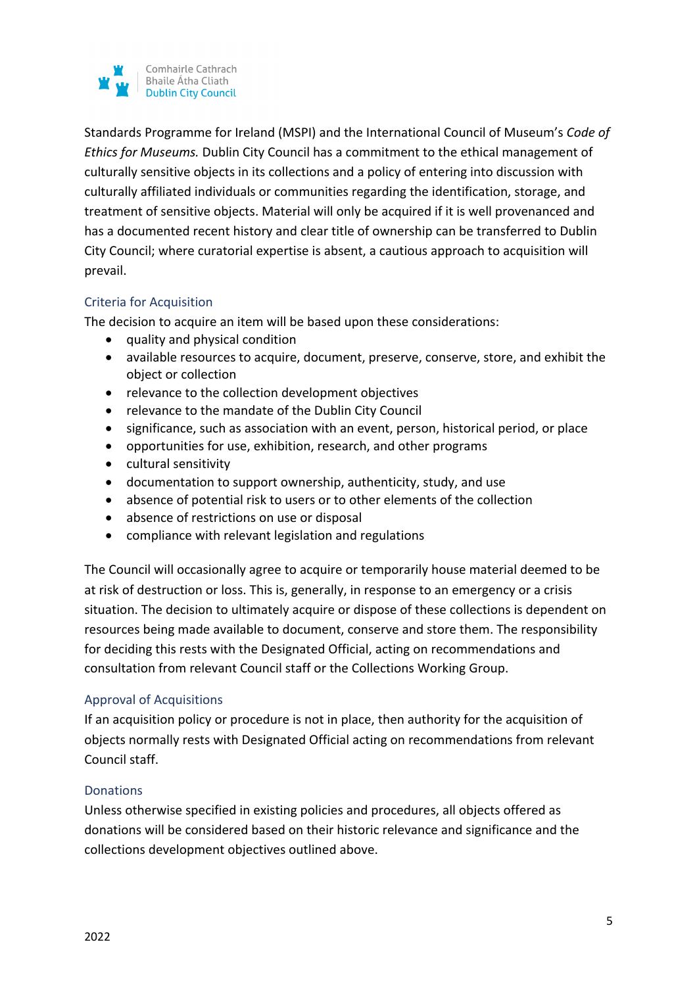

Standards Programme for Ireland (MSPI) and the International Council of Museum's *Code of Ethics for Museums.* Dublin City Council has a commitment to the ethical management of culturally sensitive objects in its collections and a policy of entering into discussion with culturally affiliated individuals or communities regarding the identification, storage, and treatment of sensitive objects. Material will only be acquired if it is well provenanced and has a documented recent history and clear title of ownership can be transferred to Dublin City Council; where curatorial expertise is absent, a cautious approach to acquisition will prevail.

## Criteria for Acquisition

The decision to acquire an item will be based upon these considerations:

- quality and physical condition
- available resources to acquire, document, preserve, conserve, store, and exhibit the object or collection
- relevance to the collection development objectives
- relevance to the mandate of the Dublin City Council
- significance, such as association with an event, person, historical period, or place
- opportunities for use, exhibition, research, and other programs
- cultural sensitivity
- documentation to support ownership, authenticity, study, and use
- absence of potential risk to users or to other elements of the collection
- absence of restrictions on use or disposal
- compliance with relevant legislation and regulations

The Council will occasionally agree to acquire or temporarily house material deemed to be at risk of destruction or loss. This is, generally, in response to an emergency or a crisis situation. The decision to ultimately acquire or dispose of these collections is dependent on resources being made available to document, conserve and store them. The responsibility for deciding this rests with the Designated Official, acting on recommendations and consultation from relevant Council staff or the Collections Working Group.

#### Approval of Acquisitions

If an acquisition policy or procedure is not in place, then authority for the acquisition of objects normally rests with Designated Official acting on recommendations from relevant Council staff.

#### **Donations**

Unless otherwise specified in existing policies and procedures, all objects offered as donations will be considered based on their historic relevance and significance and the collections development objectives outlined above.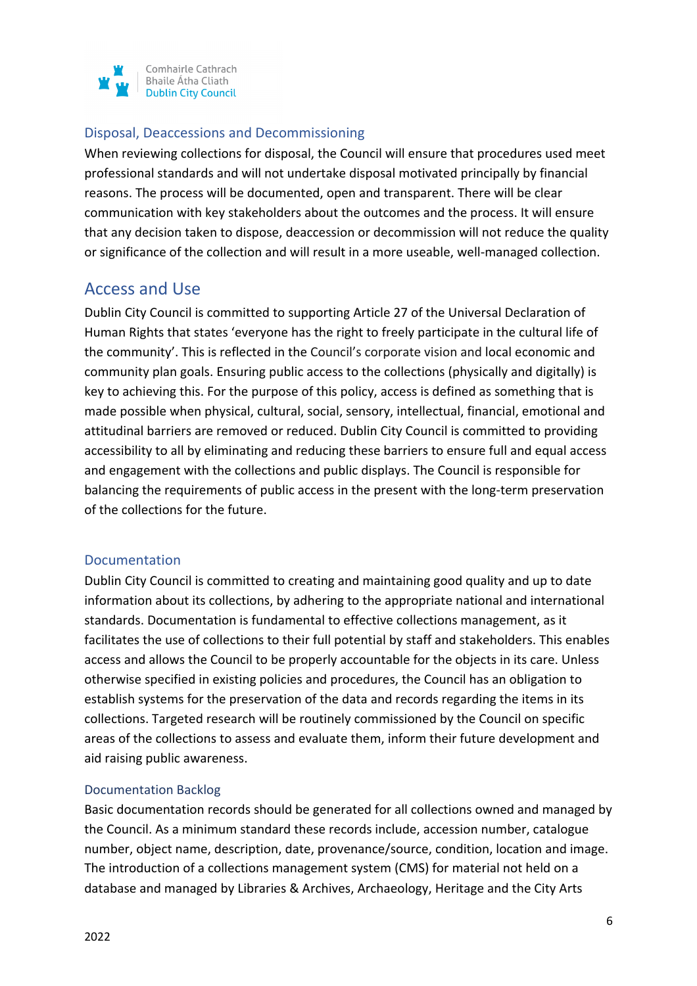

## Disposal, Deaccessions and Decommissioning

When reviewing collections for disposal, the Council will ensure that procedures used meet professional standards and will not undertake disposal motivated principally by financial reasons. The process will be documented, open and transparent. There will be clear communication with key stakeholders about the outcomes and the process. It will ensure that any decision taken to dispose, deaccession or decommission will not reduce the quality or significance of the collection and will result in a more useable, well-managed collection.

# Access and Use

Dublin City Council is committed to supporting Article 27 of the Universal Declaration of Human Rights that states 'everyone has the right to freely participate in the cultural life of the community'. This is reflected in the Council's corporate vision and local economic and community plan goals. Ensuring public access to the collections (physically and digitally) is key to achieving this. For the purpose of this policy, access is defined as something that is made possible when physical, cultural, social, sensory, intellectual, financial, emotional and attitudinal barriers are removed or reduced. Dublin City Council is committed to providing accessibility to all by eliminating and reducing these barriers to ensure full and equal access and engagement with the collections and public displays. The Council is responsible for balancing the requirements of public access in the present with the long-term preservation of the collections for the future.

#### Documentation

Dublin City Council is committed to creating and maintaining good quality and up to date information about its collections, by adhering to the appropriate national and international standards. Documentation is fundamental to effective collections management, as it facilitates the use of collections to their full potential by staff and stakeholders. This enables access and allows the Council to be properly accountable for the objects in its care. Unless otherwise specified in existing policies and procedures, the Council has an obligation to establish systems for the preservation of the data and records regarding the items in its collections. Targeted research will be routinely commissioned by the Council on specific areas of the collections to assess and evaluate them, inform their future development and aid raising public awareness.

#### Documentation Backlog

Basic documentation records should be generated for all collections owned and managed by the Council. As a minimum standard these records include, accession number, catalogue number, object name, description, date, provenance/source, condition, location and image. The introduction of a collections management system (CMS) for material not held on a database and managed by Libraries & Archives, Archaeology, Heritage and the City Arts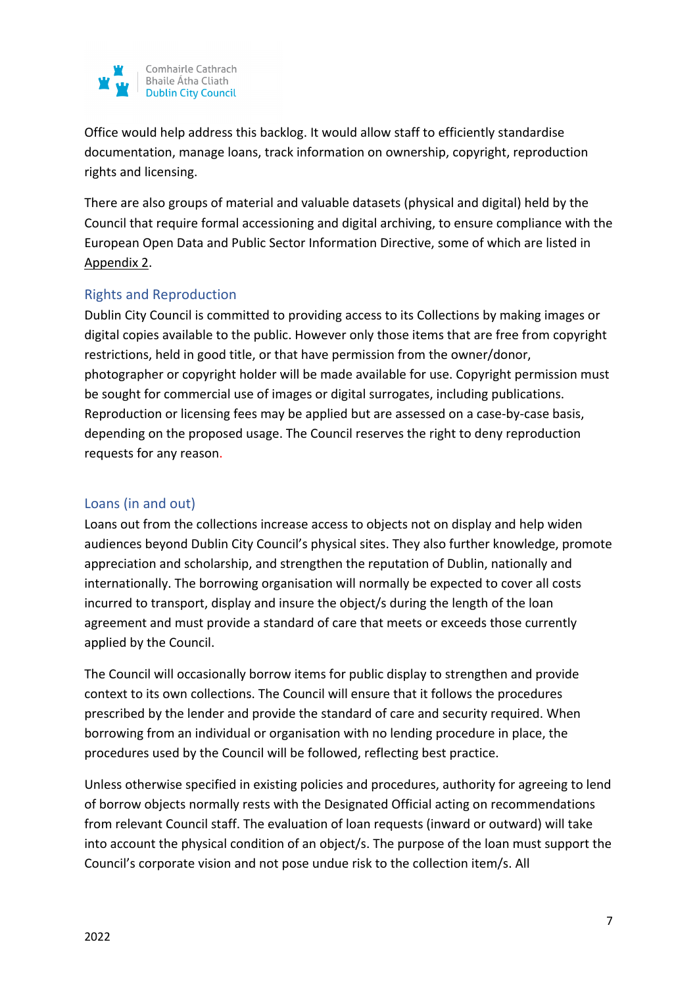

Office would help address this backlog. It would allow staff to efficiently standardise documentation, manage loans, track information on ownership, copyright, reproduction rights and licensing.

There are also groups of material and valuable datasets (physical and digital) held by the Council that require formal accessioning and digital archiving, to ensure compliance with the European Open Data and Public Sector Information Directive, some of which are listed in Appendix 2.

## Rights and Reproduction

Dublin City Council is committed to providing access to its Collections by making images or digital copies available to the public. However only those items that are free from copyright restrictions, held in good title, or that have permission from the owner/donor, photographer or copyright holder will be made available for use. Copyright permission must be sought for commercial use of images or digital surrogates, including publications. Reproduction or licensing fees may be applied but are assessed on a case-by-case basis, depending on the proposed usage. The Council reserves the right to deny reproduction requests for any reason.

## Loans (in and out)

Loans out from the collections increase access to objects not on display and help widen audiences beyond Dublin City Council's physical sites. They also further knowledge, promote appreciation and scholarship, and strengthen the reputation of Dublin, nationally and internationally. The borrowing organisation will normally be expected to cover all costs incurred to transport, display and insure the object/s during the length of the loan agreement and must provide a standard of care that meets or exceeds those currently applied by the Council.

The Council will occasionally borrow items for public display to strengthen and provide context to its own collections. The Council will ensure that it follows the procedures prescribed by the lender and provide the standard of care and security required. When borrowing from an individual or organisation with no lending procedure in place, the procedures used by the Council will be followed, reflecting best practice.

Unless otherwise specified in existing policies and procedures, authority for agreeing to lend of borrow objects normally rests with the Designated Official acting on recommendations from relevant Council staff. The evaluation of loan requests (inward or outward) will take into account the physical condition of an object/s. The purpose of the loan must support the Council's corporate vision and not pose undue risk to the collection item/s. All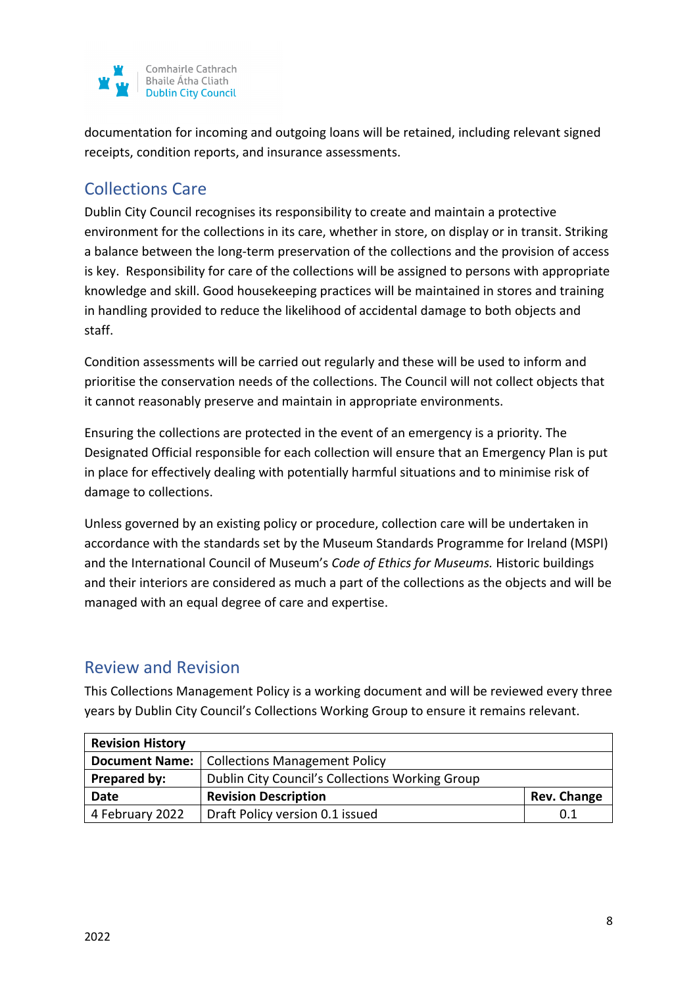

documentation for incoming and outgoing loans will be retained, including relevant signed receipts, condition reports, and insurance assessments.

# Collections Care

Dublin City Council recognises its responsibility to create and maintain a protective environment for the collections in its care, whether in store, on display or in transit. Striking a balance between the long-term preservation of the collections and the provision of access is key. Responsibility for care of the collections will be assigned to persons with appropriate knowledge and skill. Good housekeeping practices will be maintained in stores and training in handling provided to reduce the likelihood of accidental damage to both objects and staff.

Condition assessments will be carried out regularly and these will be used to inform and prioritise the conservation needs of the collections. The Council will not collect objects that it cannot reasonably preserve and maintain in appropriate environments.

Ensuring the collections are protected in the event of an emergency is a priority. The Designated Official responsible for each collection will ensure that an Emergency Plan is put in place for effectively dealing with potentially harmful situations and to minimise risk of damage to collections.

Unless governed by an existing policy or procedure, collection care will be undertaken in accordance with the standards set by the Museum Standards Programme for Ireland (MSPI) and the International Council of Museum's *Code of Ethics for Museums.* Historic buildings and their interiors are considered as much a part of the collections as the objects and will be managed with an equal degree of care and expertise.

# Review and Revision

This Collections Management Policy is a working document and will be reviewed every three years by Dublin City Council's Collections Working Group to ensure it remains relevant.

| <b>Revision History</b> |                                                 |             |  |
|-------------------------|-------------------------------------------------|-------------|--|
| <b>Document Name:</b>   | <b>Collections Management Policy</b>            |             |  |
| Prepared by:            | Dublin City Council's Collections Working Group |             |  |
| <b>Date</b>             | <b>Revision Description</b>                     | Rev. Change |  |
| 4 February 2022         | Draft Policy version 0.1 issued                 | 0.1         |  |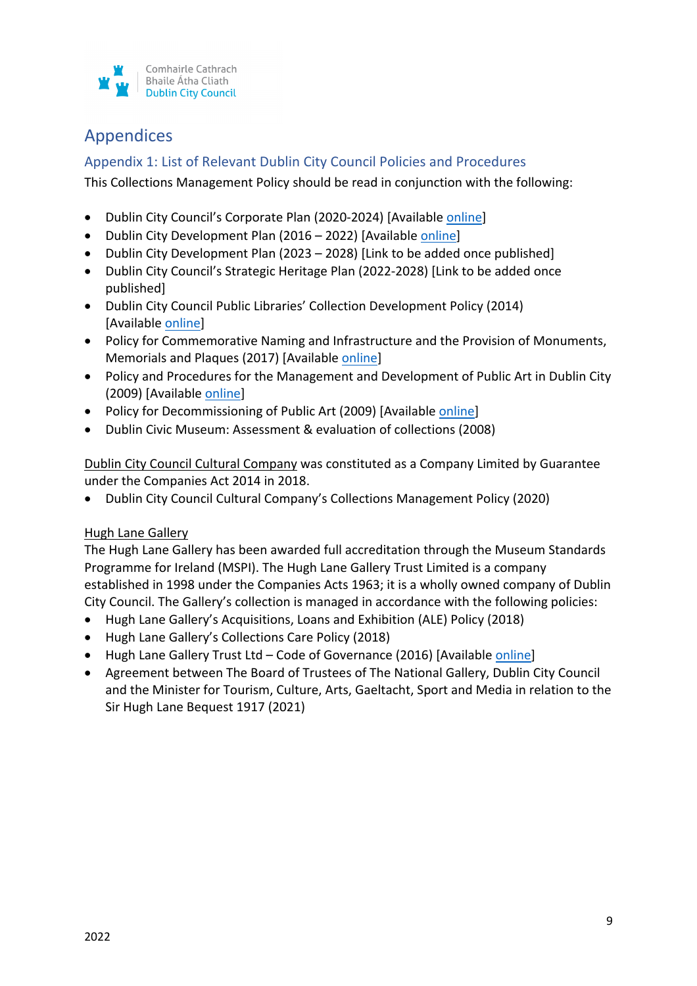

# Appendices

# Appendix 1: List of Relevant Dublin City Council Policies and Procedures

This Collections Management Policy should be read in conjunction with the following:

- Dublin City Council's Corporate Plan (2020-2024) [Available online]
- Dublin City Development Plan (2016 2022) [Available online]
- Dublin City Development Plan (2023 2028) [Link to be added once published]
- Dublin City Council's Strategic Heritage Plan (2022-2028) [Link to be added once published]
- Dublin City Council Public Libraries' Collection Development Policy (2014) [Available online]
- Policy for Commemorative Naming and Infrastructure and the Provision of Monuments, Memorials and Plaques (2017) [Available online]
- Policy and Procedures for the Management and Development of Public Art in Dublin City (2009) [Available online]
- Policy for Decommissioning of Public Art (2009) [Available online]
- Dublin Civic Museum: Assessment & evaluation of collections (2008)

Dublin City Council Cultural Company was constituted as a Company Limited by Guarantee under the Companies Act 2014 in 2018.

• Dublin City Council Cultural Company's Collections Management Policy (2020)

#### Hugh Lane Gallery

The Hugh Lane Gallery has been awarded full accreditation through the Museum Standards Programme for Ireland (MSPI). The Hugh Lane Gallery Trust Limited is a company established in 1998 under the Companies Acts 1963; it is a wholly owned company of Dublin City Council. The Gallery's collection is managed in accordance with the following policies:

- Hugh Lane Gallery's Acquisitions, Loans and Exhibition (ALE) Policy (2018)
- Hugh Lane Gallery's Collections Care Policy (2018)
- Hugh Lane Gallery Trust Ltd Code of Governance (2016) [Available online]
- Agreement between The Board of Trustees of The National Gallery, Dublin City Council and the Minister for Tourism, Culture, Arts, Gaeltacht, Sport and Media in relation to the Sir Hugh Lane Bequest 1917 (2021)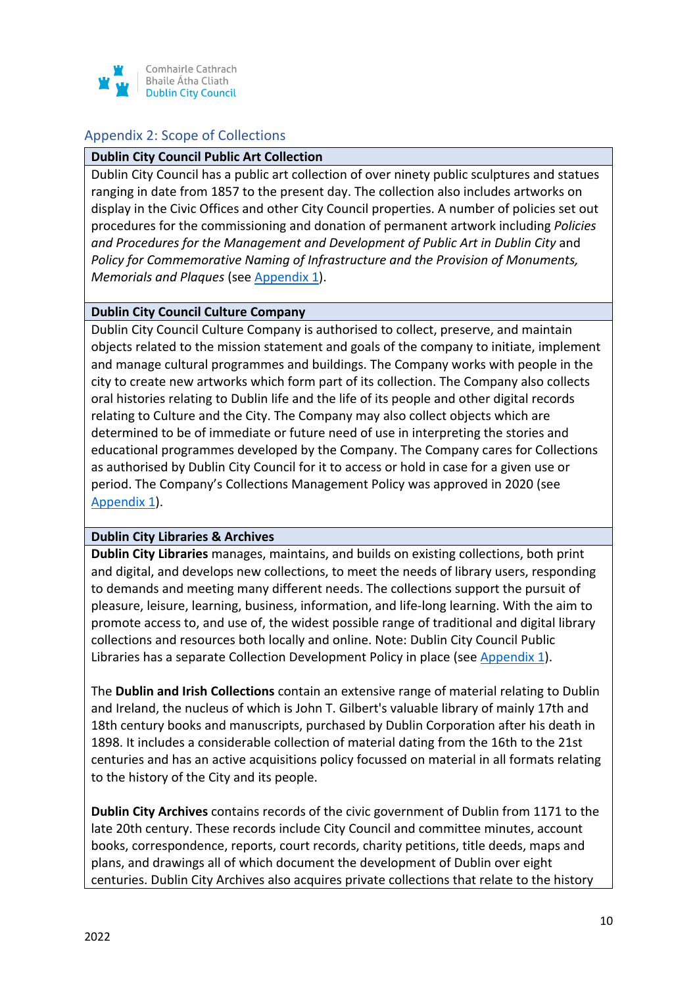

# Appendix 2: Scope of Collections

#### **Dublin City Council Public Art Collection**

Dublin City Council has a public art collection of over ninety public sculptures and statues ranging in date from 1857 to the present day. The collection also includes artworks on display in the Civic Offices and other City Council properties. A number of policies set out procedures for the commissioning and donation of permanent artwork including *Policies and Procedures for the Management and Development of Public Art in Dublin City* and *Policy for Commemorative Naming of Infrastructure and the Provision of Monuments, Memorials and Plaques* (see Appendix 1).

#### **Dublin City Council Culture Company**

Dublin City Council Culture Company is authorised to collect, preserve, and maintain objects related to the mission statement and goals of the company to initiate, implement and manage cultural programmes and buildings. The Company works with people in the city to create new artworks which form part of its collection. The Company also collects oral histories relating to Dublin life and the life of its people and other digital records relating to Culture and the City. The Company may also collect objects which are determined to be of immediate or future need of use in interpreting the stories and educational programmes developed by the Company. The Company cares for Collections as authorised by Dublin City Council for it to access or hold in case for a given use or period. The Company's Collections Management Policy was approved in 2020 (see Appendix 1).

#### **Dublin City Libraries & Archives**

**Dublin City Libraries** manages, maintains, and builds on existing collections, both print and digital, and develops new collections, to meet the needs of library users, responding to demands and meeting many different needs. The collections support the pursuit of pleasure, leisure, learning, business, information, and life-long learning. With the aim to promote access to, and use of, the widest possible range of traditional and digital library collections and resources both locally and online. Note: Dublin City Council Public Libraries has a separate Collection Development Policy in place (see Appendix 1).

The **Dublin and Irish Collections** contain an extensive range of material relating to Dublin and Ireland, the nucleus of which is John T. Gilbert's valuable library of mainly 17th and 18th century books and manuscripts, purchased by Dublin Corporation after his death in 1898. It includes a considerable collection of material dating from the 16th to the 21st centuries and has an active acquisitions policy focussed on material in all formats relating to the history of the City and its people.

**Dublin City Archives** contains records of the civic government of Dublin from 1171 to the late 20th century. These records include City Council and committee minutes, account books, correspondence, reports, court records, charity petitions, title deeds, maps and plans, and drawings all of which document the development of Dublin over eight centuries. Dublin City Archives also acquires private collections that relate to the history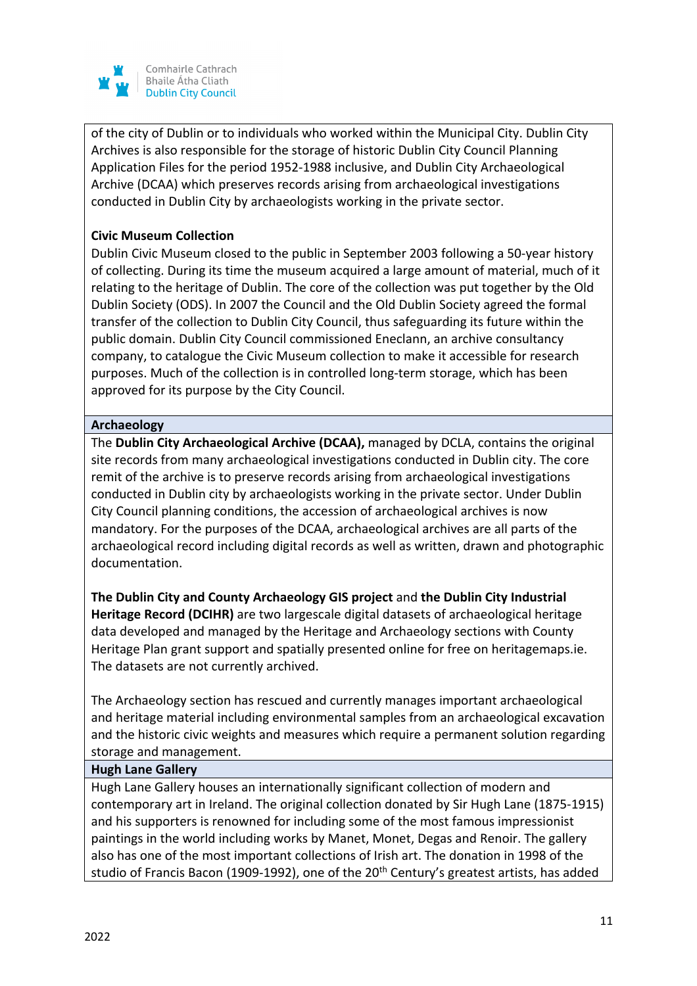

of the city of Dublin or to individuals who worked within the Municipal City. Dublin City Archives is also responsible for the storage of historic Dublin City Council Planning Application Files for the period 1952-1988 inclusive, and Dublin City Archaeological Archive (DCAA) which preserves records arising from archaeological investigations conducted in Dublin City by archaeologists working in the private sector.

#### **Civic Museum Collection**

Dublin Civic Museum closed to the public in September 2003 following a 50-year history of collecting. During its time the museum acquired a large amount of material, much of it relating to the heritage of Dublin. The core of the collection was put together by the Old Dublin Society (ODS). In 2007 the Council and the Old Dublin Society agreed the formal transfer of the collection to Dublin City Council, thus safeguarding its future within the public domain. Dublin City Council commissioned Eneclann, an archive consultancy company, to catalogue the Civic Museum collection to make it accessible for research purposes. Much of the collection is in controlled long-term storage, which has been approved for its purpose by the City Council.

## **Archaeology**

The **Dublin City Archaeological Archive (DCAA),** managed by DCLA, contains the original site records from many archaeological investigations conducted in Dublin city. The core remit of the archive is to preserve records arising from archaeological investigations conducted in Dublin city by archaeologists working in the private sector. Under Dublin City Council planning conditions, the accession of archaeological archives is now mandatory. For the purposes of the DCAA, archaeological archives are all parts of the archaeological record including digital records as well as written, drawn and photographic documentation.

**The Dublin City and County Archaeology GIS project** and **the Dublin City Industrial Heritage Record (DCIHR)** are two largescale digital datasets of archaeological heritage data developed and managed by the Heritage and Archaeology sections with County Heritage Plan grant support and spatially presented online for free on heritagemaps.ie. The datasets are not currently archived.

The Archaeology section has rescued and currently manages important archaeological and heritage material including environmental samples from an archaeological excavation and the historic civic weights and measures which require a permanent solution regarding storage and management.

#### **Hugh Lane Gallery**

Hugh Lane Gallery houses an internationally significant collection of modern and contemporary art in Ireland. The original collection donated by Sir Hugh Lane (1875-1915) and his supporters is renowned for including some of the most famous impressionist paintings in the world including works by Manet, Monet, Degas and Renoir. The gallery also has one of the most important collections of Irish art. The donation in 1998 of the studio of Francis Bacon (1909-1992), one of the 20<sup>th</sup> Century's greatest artists, has added